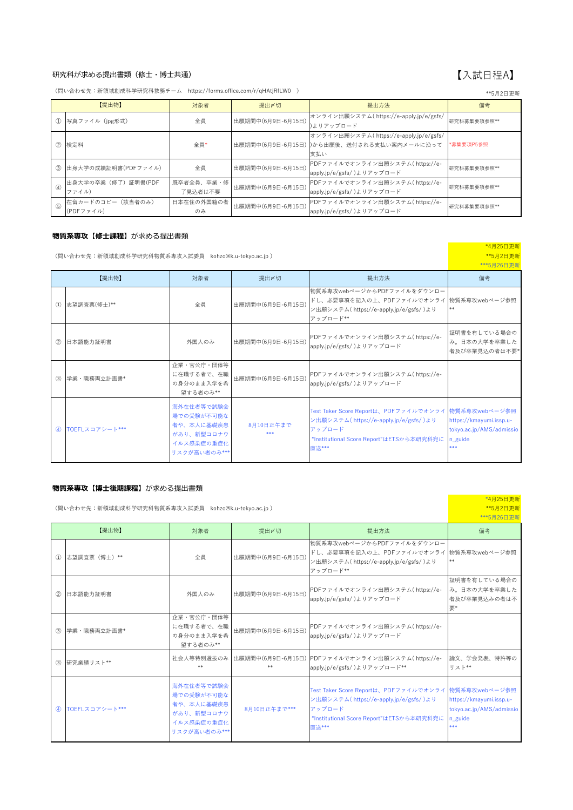### 研究科が求める提出書類 (修士・博士共通)

(問い合わせ先:新領域創成科学研究科教務チーム https://forms.office.com/r/qHAtjRfLW0 ) \*\*5⽉2⽇更新

|                                 | フリムロメイン                        |                       |                   |                                                                                            |             |  |
|---------------------------------|--------------------------------|-----------------------|-------------------|--------------------------------------------------------------------------------------------|-------------|--|
| 【提出物】                           |                                | 対象者                   | 提出〆切              | 提出方法                                                                                       | 備考          |  |
| $\mathcal{D}$                   | 写真ファイル(ipg形式)                  | 全員                    | 出願期間中(6月9日-6月15日) | オンライン出願システム(https://e-apply.jp/e/gsfs/<br>)よりアップロード                                        | 研究科募集要項参照** |  |
|                                 | 2 検定料                          | 全員*                   |                   | オンライン出願システム(https://e-apply.jp/e/gsfs/<br>出願期間中(6月9日-6月15日))から出願後、送付される支払い案内メールに沿って<br>支払い | *募集要項P5参照   |  |
|                                 | 3 出身大学の成績証明書(PDFファイル)          | 全員                    | 出願期間中(6月9日-6月15日) | PDFファイルでオンライン出願システム(https://e-<br>apply.jp/e/gsfs/)よりアップロード                                | 研究科募集要項参照** |  |
| $\qquad \qquad \textcircled{4}$ | ■出身大学の卒業(修了)証明書(PDF<br>ファイル)   | 既卒者全員、卒業・修<br>了見込者は不要 | 出願期間中(6月9日-6月15日) | PDFファイルでオンライン出願システム(https://e-<br>apply.jp/e/gsfs/)よりアップロード                                | 研究科募集要項参照** |  |
| $\circ$                         | 在留カードのコピー (該当者のみ)<br>(PDFファイル) | 日本在住の外国籍の者<br>のみ      | 出願期間中(6月9日-6月15日) | PDFファイルでオンライン出願システム(https://e-<br>apply.jp/e/gsfs/)よりアップロード                                | 研究科募集要項参照** |  |

### **物質系専攻【修⼠課程】**が求める提出書類

| (問い合わせ先:新領域創成科学研究科物質系専攻入試委員 kohzo@k.u-tokyo.ac.jp ) | *4月25日更新<br>**5月2日更新<br>***5月26日更新 |                                                                                    |                   |                                                                                                                                                                     |                                                                       |
|-----------------------------------------------------|------------------------------------|------------------------------------------------------------------------------------|-------------------|---------------------------------------------------------------------------------------------------------------------------------------------------------------------|-----------------------------------------------------------------------|
| 【提出物】                                               |                                    | 対象者                                                                                | 提出〆切              | 提出方法                                                                                                                                                                | 備考                                                                    |
| $\mathcal{D}$                                       | 志望調査票(修士)**                        | 全員                                                                                 | 出願期間中(6月9日-6月15日) | 物質系専攻webページからPDFファイルをダウンロー<br>ドし、必要事項を記入の上、PDFファイルでオンライ 物質系専攻webページ参照<br>ン出願システム(https://e-apply.jp/e/gsfs/)より<br>アップロード**                                          | **                                                                    |
| (2)                                                 | 日本語能力証明書                           | 外国人のみ                                                                              | 出願期間中(6月9日-6月15日) | PDFファイルでオンライン出願システム(https://e-<br>apply.jp/e/gsfs/)よりアップロード                                                                                                         | 証明書を有している場合の<br>み。日本の大学を卒業した<br>者及び卒業見込の者は不要*                         |
| (3)                                                 | 学業·職務両立計画書*                        | 企業・官公庁・団体等<br>に在職する者で、在職<br>の身分のまま入学を希<br>望する者のみ**                                 | 出願期間中(6月9日-6月15日) | PDFファイルでオンライン出願システム(https://e-<br>apply.jp/e/gsfs/)よりアップロード                                                                                                         |                                                                       |
| $\circled{4}$                                       | TOEFLスコアシート***                     | 海外在住者等で試験会<br>場での受験が不可能な<br>者や、本人に基礎疾患<br>があり、新型コロナウ<br>イルス感染症の重症化<br>リスクが高い者のみ*** | 8月10日正午まで<br>***  | Test Taker Score Reportは、PDFファイルでオンライ 物質系専攻webページ参照<br>ン出願システム(https://e-apply.jp/e/gsfs/)より<br>アップロード<br>"Institutional Score Report"はETSから本研究科宛に<br><b>直</b> 送*** | https://kmayumi.issp.u-<br>tokyo.ac.jp/AMS/admissio<br>n_guide<br>*** |

### **物質系専攻【博⼠後期課程】**が求める提出書類

(問い合わせ先:新領域創成科学研究科物質系専攻⼊試委員 kohzo@k.u-tokyo.ac.jp ) \*\*5⽉2⽇更新 \*\*\*5⽉26⽇更新 対象者 こんじょう 提出が切れる しょうしん こうしん 提出方法 いっこう しょうしょう 備考 ① 志望調査票(博⼠)\*\* 全員 出願期間中(6⽉9⽇-6⽉15⽇) 物質系専攻webページからPDFファイルをダウンロー ドし、必要事項を記入の上、PDFファイルでオンライ |物質系専攻webページ参照 ン出願システム( https://e-apply.jp/e/gsfs/ )より アップロード\*\* \*\* ② ⽇本語能⼒証明書 外国⼈のみ 出願期間中(6⽉9⽇-6⽉15⽇) PDFファイルでオンライン出願システム( https://eapply.jp/e/gsfs/ )よりアップロード 証明書を有している場合の み。日本の大学を卒業した 者及び卒業⾒込みの者は不 要\* ③ 学業・職務両⽴計画書\* 企業・官公庁・団体等 に在職する者で、在職 の身分のまま入学を希 望する者のみ\*\* │<br>|出願期間中(6月9日-6月15日) PDFファイルでオンライン出願システム( https://eapply.jp/e/gsfs/ )よりアップロード 3 研究業績リスト\*\* および 社会人等特別選抜のみ \*\* 出願期間中(6⽉9⽇-6⽉15⽇) PDFファイルでオンライン出願システム( https://e-\*\* apply.jp/e/gsfs/ )よりアップロード\*\* 論⽂、学会発表、特許等の リスト\*\* ④ TOEFLスコアシート\*\*\* 海外在住者等で試験会 場での受験が不可能な 者や、本⼈に基礎疾患 があり、新型コロナウ イルス感染症の重症化 リスクが⾼い者のみ\*\*\* 8⽉10⽇正午まで\*\*\* Test Taker Score Reportは、PDFファイルでオンライ ン出願システム( https://e-apply.jp/e/gsfs/ )より アップロード "Institutional Score Report"はETSから本研究科宛に 直送\*\*\* 物質系専攻webページ参照 https://kmayumi.issp.utokyo.ac.jp/AMS/admissio n\_guide \*\*\* 【提出物】

# 【入試日程A】

\*4⽉25⽇更新